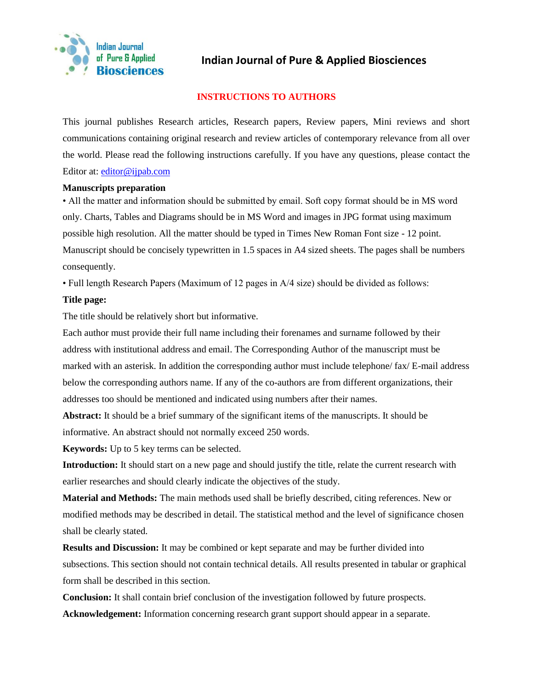

# **Indian Journal of Pure & Applied Biosciences**

# **INSTRUCTIONS TO AUTHORS**

This journal publishes Research articles, Research papers, Review papers, Mini reviews and short communications containing original research and review articles of contemporary relevance from all over the world. Please read the following instructions carefully. If you have any questions, please contact the Editor at: [editor@ijpab.com](mailto:editor@ijpab.com)

### **Manuscripts preparation**

• All the matter and information should be submitted by email. Soft copy format should be in MS word only. Charts, Tables and Diagrams should be in MS Word and images in JPG format using maximum possible high resolution. All the matter should be typed in Times New Roman Font size - 12 point. Manuscript should be concisely typewritten in 1.5 spaces in A4 sized sheets. The pages shall be numbers consequently.

• Full length Research Papers (Maximum of 12 pages in A/4 size) should be divided as follows:

# **Title page:**

The title should be relatively short but informative.

Each author must provide their full name including their forenames and surname followed by their address with institutional address and email. The Corresponding Author of the manuscript must be marked with an asterisk. In addition the corresponding author must include telephone/ fax/ E-mail address below the corresponding authors name. If any of the co-authors are from different organizations, their addresses too should be mentioned and indicated using numbers after their names.

**Abstract:** It should be a brief summary of the significant items of the manuscripts. It should be informative. An abstract should not normally exceed 250 words.

**Keywords:** Up to 5 key terms can be selected.

**Introduction:** It should start on a new page and should justify the title, relate the current research with earlier researches and should clearly indicate the objectives of the study.

**Material and Methods:** The main methods used shall be briefly described, citing references. New or modified methods may be described in detail. The statistical method and the level of significance chosen shall be clearly stated.

**Results and Discussion:** It may be combined or kept separate and may be further divided into subsections. This section should not contain technical details. All results presented in tabular or graphical form shall be described in this section.

**Conclusion:** It shall contain brief conclusion of the investigation followed by future prospects.

**Acknowledgement:** Information concerning research grant support should appear in a separate.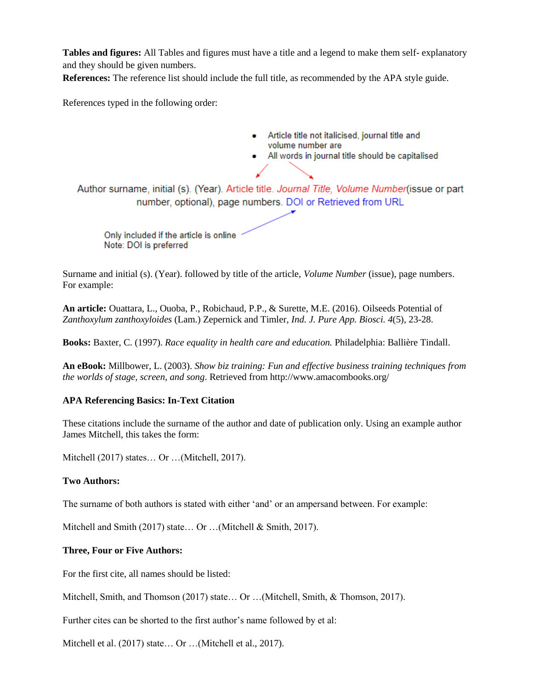**Tables and figures:** All Tables and figures must have a title and a legend to make them self- explanatory and they should be given numbers.

**References:** The reference list should include the full title, as recommended by the APA style guide.

References typed in the following order:

- Article title not italicised, journal title and  $\bullet$ volume number are
- . All words in journal title should be capitalised

Author surname, initial (s). (Year). Article title. Journal Title, Volume Number (issue or part number, optional), page numbers. DOI or Retrieved from URL

Only included if the article is online Note: DOI is preferred

Surname and initial (s). (Year). followed by title of the article, *Volume Number* (issue), page numbers. For example:

**An article:** Ouattara, L., Ouoba, P., Robichaud, P.P., & Surette, M.E. (2016). Oilseeds Potential of *Zanthoxylum zanthoxyloides* (Lam.) Zepernick and Timler, *Ind. J. Pure App. Biosci. 4*(5), 23-28.

**Books:** Baxter, C. (1997). *Race equality in health care and education.* Philadelphia: Ballière Tindall.

**An eBook:** Millbower, L. (2003). *Show biz training: Fun and effective business training techniques from the worlds of stage, screen, and song*. Retrieved from http://www.amacombooks.org/

#### **APA Referencing Basics: In-Text Citation**

These citations include the surname of the author and date of publication only. Using an example author James Mitchell, this takes the form:

Mitchell (2017) states… Or …(Mitchell, 2017).

#### **Two Authors:**

The surname of both authors is stated with either 'and' or an ampersand between. For example:

Mitchell and Smith (2017) state… Or …(Mitchell & Smith, 2017).

#### **Three, Four or Five Authors:**

For the first cite, all names should be listed:

Mitchell, Smith, and Thomson (2017) state… Or …(Mitchell, Smith, & Thomson, 2017).

Further cites can be shorted to the first author's name followed by et al:

Mitchell et al. (2017) state... Or ... (Mitchell et al., 2017).